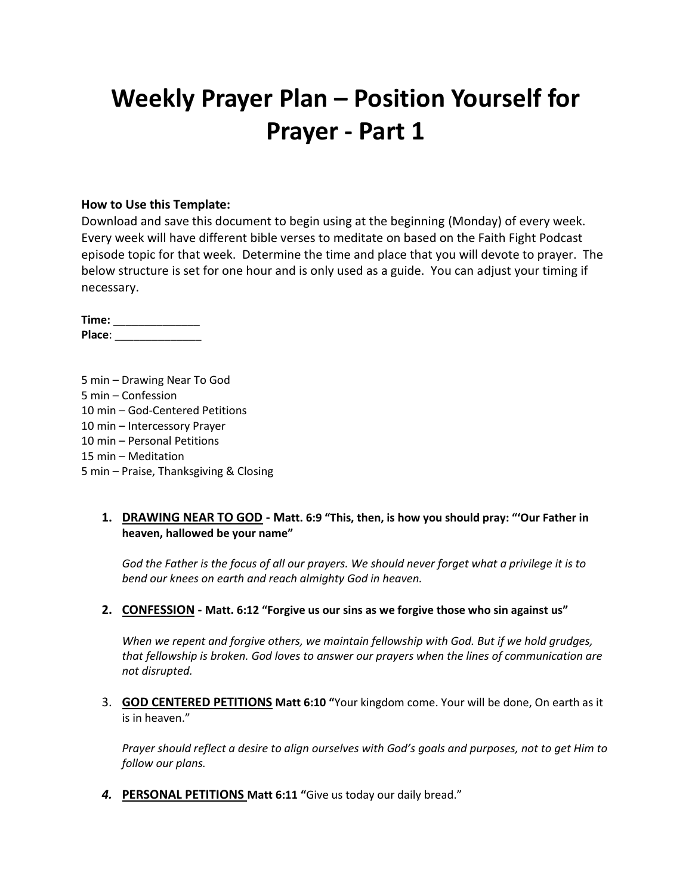# **Weekly Prayer Plan – Position Yourself for Prayer - Part 1**

#### **How to Use this Template:**

Download and save this document to begin using at the beginning (Monday) of every week. Every week will have different bible verses to meditate on based on the Faith Fight Podcast episode topic for that week. Determine the time and place that you will devote to prayer. The below structure is set for one hour and is only used as a guide. You can adjust your timing if necessary.

**Time:** \_\_\_\_\_\_\_\_\_\_\_\_\_\_ **Place**: \_\_\_\_\_\_\_\_\_\_\_\_\_\_

5 min – Drawing Near To God 5 min – Confession 10 min – God-Centered Petitions 10 min – Intercessory Prayer 10 min – Personal Petitions 15 min – Meditation 5 min – Praise, Thanksgiving & Closing

#### **1. DRAWING NEAR TO GOD - Matt. 6:9 "This, then, is how you should pray: "'Our Father in heaven, hallowed be your name"**

*God the Father is the focus of all our prayers. We should never forget what a privilege it is to bend our knees on earth and reach almighty God in heaven.*

#### **2. CONFESSION - Matt. 6:12 "Forgive us our sins as we forgive those who sin against us"**

*When we repent and forgive others, we maintain fellowship with God. But if we hold grudges, that fellowship is broken. God loves to answer our prayers when the lines of communication are not disrupted.*

3. **GOD CENTERED PETITIONS Matt 6:10 "**Your kingdom come. Your will be done, On earth as it is in heaven."

*Prayer should reflect a desire to align ourselves with God's goals and purposes, not to get Him to follow our plans.*

*4.* **PERSONAL PETITIONS Matt 6:11 "**Give us today our daily bread."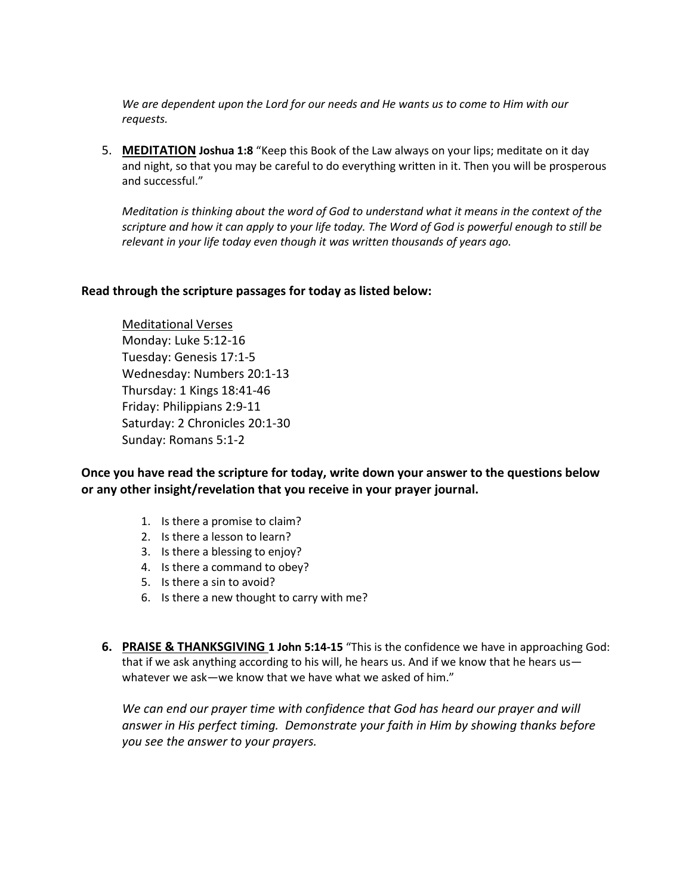*We are dependent upon the Lord for our needs and He wants us to come to Him with our requests.*

5. **MEDITATION Joshua 1:8** "Keep this Book of the Law always on your lips; meditate on it day and night, so that you may be careful to do everything written in it. Then you will be prosperous and successful."

*Meditation is thinking about the word of God to understand what it means in the context of the scripture and how it can apply to your life today. The Word of God is powerful enough to still be relevant in your life today even though it was written thousands of years ago.*

#### **Read through the scripture passages for today as listed below:**

Meditational Verses Monday: Luke 5:12-16 Tuesday: Genesis 17:1-5 Wednesday: Numbers 20:1-13 Thursday: 1 Kings 18:41-46 Friday: Philippians 2:9-11 Saturday: 2 Chronicles 20:1-30 Sunday: Romans 5:1-2

**Once you have read the scripture for today, write down your answer to the questions below or any other insight/revelation that you receive in your prayer journal.** 

- 1. Is there a promise to claim?
- 2. Is there a lesson to learn?
- 3. Is there a blessing to enjoy?
- 4. Is there a command to obey?
- 5. Is there a sin to avoid?
- 6. Is there a new thought to carry with me?
- **6. PRAISE & THANKSGIVING 1 John 5:14-15** "This is the confidence we have in approaching God: that if we ask anything according to his will, he hears us. And if we know that he hears us whatever we ask—we know that we have what we asked of him."

*We can end our prayer time with confidence that God has heard our prayer and will answer in His perfect timing. Demonstrate your faith in Him by showing thanks before you see the answer to your prayers.*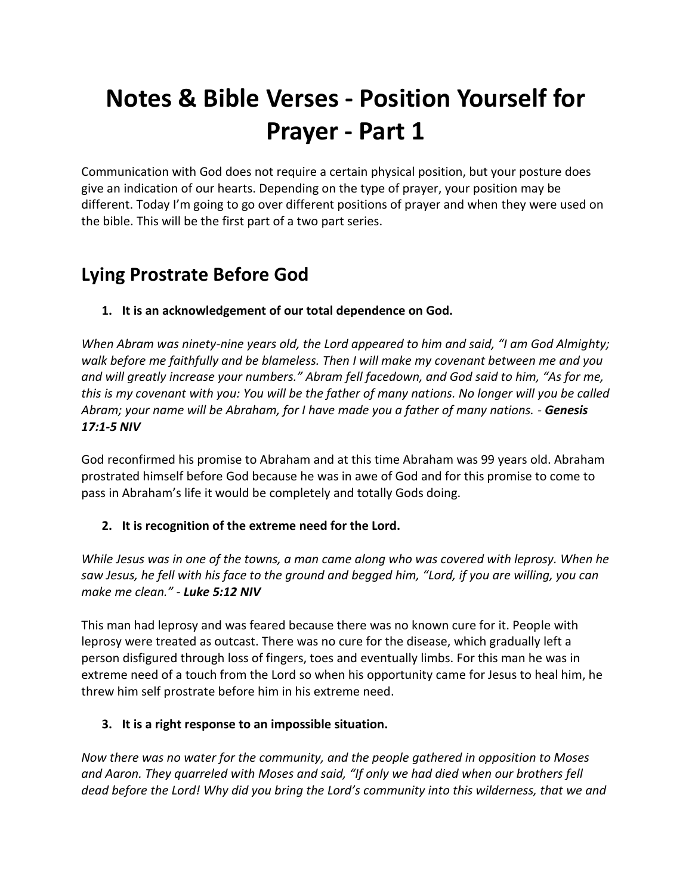# **Notes & Bible Verses - Position Yourself for Prayer - Part 1**

Communication with God does not require a certain physical position, but your posture does give an indication of our hearts. Depending on the type of prayer, your position may be different. Today I'm going to go over different positions of prayer and when they were used on the bible. This will be the first part of a two part series.

# **Lying Prostrate Before God**

### **1. It is an acknowledgement of our total dependence on God.**

*When Abram was ninety-nine years old, the Lord appeared to him and said, "I am God Almighty; walk before me faithfully and be blameless. Then I will make my covenant between me and you and will greatly increase your numbers." Abram fell facedown, and God said to him, "As for me, this is my covenant with you: You will be the father of many nations. No longer will you be called Abram; your name will be Abraham, for I have made you a father of many nations. - Genesis 17:1-5 NIV*

God reconfirmed his promise to Abraham and at this time Abraham was 99 years old. Abraham prostrated himself before God because he was in awe of God and for this promise to come to pass in Abraham's life it would be completely and totally Gods doing.

### **2. It is recognition of the extreme need for the Lord.**

*While Jesus was in one of the towns, a man came along who was covered with leprosy. When he saw Jesus, he fell with his face to the ground and begged him, "Lord, if you are willing, you can make me clean." - Luke 5:12 NIV*

This man had leprosy and was feared because there was no known cure for it. People with leprosy were treated as outcast. There was no cure for the disease, which gradually left a person disfigured through loss of fingers, toes and eventually limbs. For this man he was in extreme need of a touch from the Lord so when his opportunity came for Jesus to heal him, he threw him self prostrate before him in his extreme need.

### **3. It is a right response to an impossible situation.**

*Now there was no water for the community, and the people gathered in opposition to Moses and Aaron. They quarreled with Moses and said, "If only we had died when our brothers fell dead before the Lord! Why did you bring the Lord's community into this wilderness, that we and*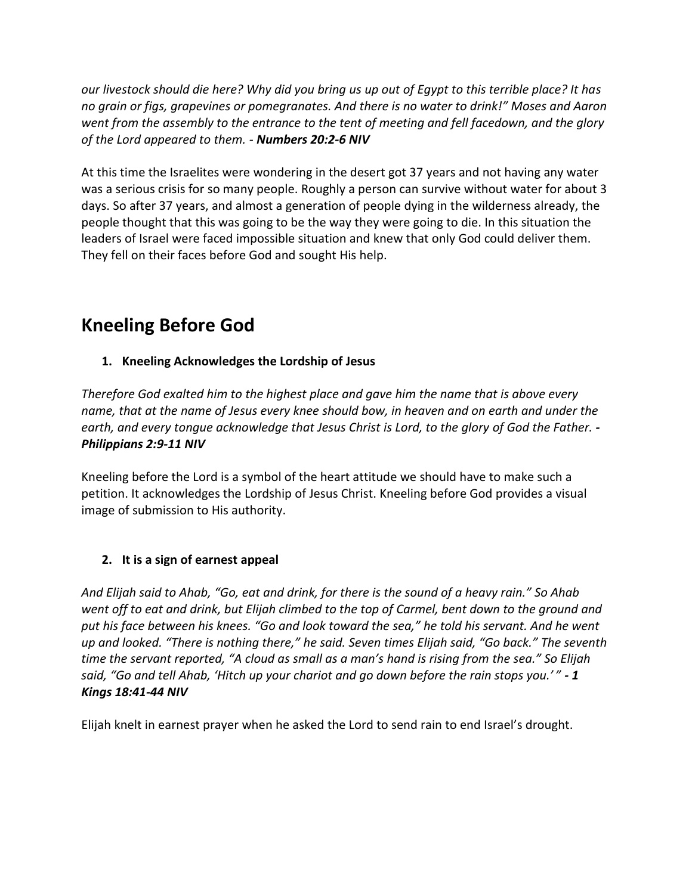*our livestock should die here? Why did you bring us up out of Egypt to this terrible place? It has no grain or figs, grapevines or pomegranates. And there is no water to drink!" Moses and Aaron went from the assembly to the entrance to the tent of meeting and fell facedown, and the glory of the Lord appeared to them. - Numbers 20:2-6 NIV*

At this time the Israelites were wondering in the desert got 37 years and not having any water was a serious crisis for so many people. Roughly a person can survive without water for about 3 days. So after 37 years, and almost a generation of people dying in the wilderness already, the people thought that this was going to be the way they were going to die. In this situation the leaders of Israel were faced impossible situation and knew that only God could deliver them. They fell on their faces before God and sought His help.

## **Kneeling Before God**

### **1. Kneeling Acknowledges the Lordship of Jesus**

*Therefore God exalted him to the highest place and gave him the name that is above every name, that at the name of Jesus every knee should bow, in heaven and on earth and under the earth, and every tongue acknowledge that Jesus Christ is Lord, to the glory of God the Father. - Philippians 2:9-11 NIV*

Kneeling before the Lord is a symbol of the heart attitude we should have to make such a petition. It acknowledges the Lordship of Jesus Christ. Kneeling before God provides a visual image of submission to His authority.

### **2. It is a sign of earnest appeal**

*And Elijah said to Ahab, "Go, eat and drink, for there is the sound of a heavy rain." So Ahab went off to eat and drink, but Elijah climbed to the top of Carmel, bent down to the ground and put his face between his knees. "Go and look toward the sea," he told his servant. And he went up and looked. "There is nothing there," he said. Seven times Elijah said, "Go back." The seventh time the servant reported, "A cloud as small as a man's hand is rising from the sea." So Elijah said, "Go and tell Ahab, 'Hitch up your chariot and go down before the rain stops you.' " - 1 Kings 18:41-44 NIV*

Elijah knelt in earnest prayer when he asked the Lord to send rain to end Israel's drought.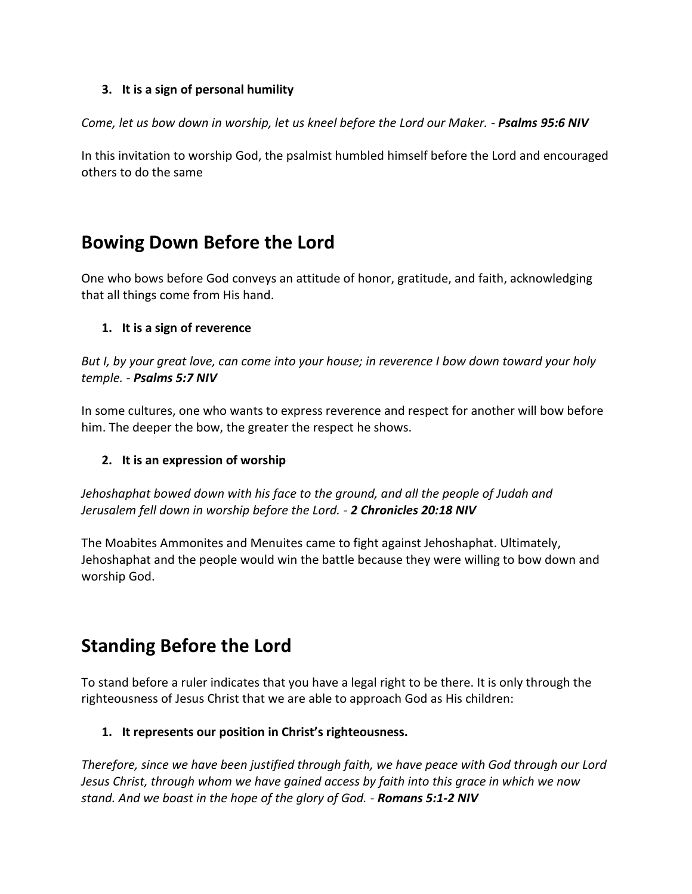### **3. It is a sign of personal humility**

*Come, let us bow down in worship, let us kneel before the Lord our Maker. - Psalms 95:6 NIV*

In this invitation to worship God, the psalmist humbled himself before the Lord and encouraged others to do the same

## **Bowing Down Before the Lord**

One who bows before God conveys an attitude of honor, gratitude, and faith, acknowledging that all things come from His hand.

### **1. It is a sign of reverence**

*But I, by your great love, can come into your house; in reverence I bow down toward your holy temple. - Psalms 5:7 NIV*

In some cultures, one who wants to express reverence and respect for another will bow before him. The deeper the bow, the greater the respect he shows.

### **2. It is an expression of worship**

*Jehoshaphat bowed down with his face to the ground, and all the people of Judah and Jerusalem fell down in worship before the Lord. - 2 Chronicles 20:18 NIV*

The Moabites Ammonites and Menuites came to fight against Jehoshaphat. Ultimately, Jehoshaphat and the people would win the battle because they were willing to bow down and worship God.

# **Standing Before the Lord**

To stand before a ruler indicates that you have a legal right to be there. It is only through the righteousness of Jesus Christ that we are able to approach God as His children:

### **1. It represents our position in Christ's righteousness.**

*Therefore, since we have been justified through faith, we have peace with God through our Lord Jesus Christ, through whom we have gained access by faith into this grace in which we now stand. And we boast in the hope of the glory of God. - Romans 5:1-2 NIV*